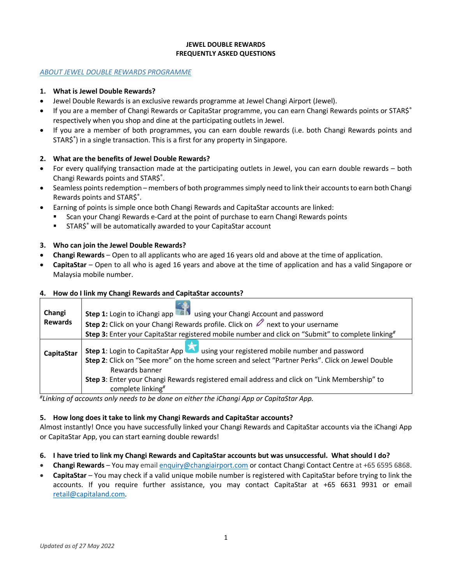## **JEWEL DOUBLE REWARDS FREQUENTLY ASKED QUESTIONS**

### *ABOUT JEWEL DOUBLE REWARDS PROGRAMME*

### **1. What is Jewel Double Rewards?**

- Jewel Double Rewards is an exclusive rewards programme at Jewel Changi Airport (Jewel).
- If you are a member of Changi Rewards or CapitaStar programme, you can earn Changi Rewards points or STAR\$® respectively when you shop and dine at the participating outlets in Jewel.
- If you are a member of both programmes, you can earn double rewards (i.e. both Changi Rewards points and STAR\$® ) in a single transaction. This is a first for any property in Singapore.

## **2. What are the benefits of Jewel Double Rewards?**

- For every qualifying transaction made at the participating outlets in Jewel, you can earn double rewards both Changi Rewards points and STAR\$® .
- Seamless points redemption members of both programmes simply need to link their accountsto earn both Changi Rewards points and STAR\$® .
- Earning of points is simple once both Changi Rewards and CapitaStar accounts are linked:
	- Scan your Changi Rewards e-Card at the point of purchase to earn Changi Rewards points
	- STAR\$® will be automatically awarded to your CapitaStar account

### **3. Who can join the Jewel Double Rewards?**

- **Changi Rewards**  Open to all applicants who are aged 16 years old and above at the time of application.
- **CapitaStar**  Open to all who is aged 16 years and above at the time of application and has a valid Singapore or Malaysia mobile number.

### **4. How do I link my Changi Rewards and CapitaStar accounts?**

| Changi<br><b>Rewards</b> | <b>Step 1:</b> Login to iChangi app and using your Changi Account and password<br><b>Step 2:</b> Click on your Changi Rewards profile. Click on $\mathbb{Z}$ next to your username<br>Step 3: Enter your CapitaStar registered mobile number and click on "Submit" to complete linking"                                               |
|--------------------------|---------------------------------------------------------------------------------------------------------------------------------------------------------------------------------------------------------------------------------------------------------------------------------------------------------------------------------------|
| CapitaStar               | Step 1: Login to CapitaStar App <b>1.</b> using your registered mobile number and password<br>Step 2: Click on "See more" on the home screen and select "Partner Perks". Click on Jewel Double<br>Rewards banner<br>Step 3: Enter your Changi Rewards registered email address and click on "Link Membership" to<br>complete linking# |

*# Linking of accounts only needs to be done on either the iChangi App or CapitaStar App.*

### **5. How long does it take to link my Changi Rewards and CapitaStar accounts?**

Almost instantly! Once you have successfully linked your Changi Rewards and CapitaStar accounts via the iChangi App or CapitaStar App, you can start earning double rewards!

- **6. I have tried to link my Changi Rewards and CapitaStar accounts but was unsuccessful. What should I do?**
- **Changi Rewards**  You may email [enquiry@changiairport.com](mailto:enquiry@changiairport.com) or contact Changi Contact Centre at +65 6595 6868.
- **CapitaStar**  You may check if a valid unique mobile number is registered with CapitaStar before trying to link the accounts. If you require further assistance, you may contact CapitaStar at +65 6631 9931 or email [retail@capitaland.com.](mailto:retail@capitaland.com)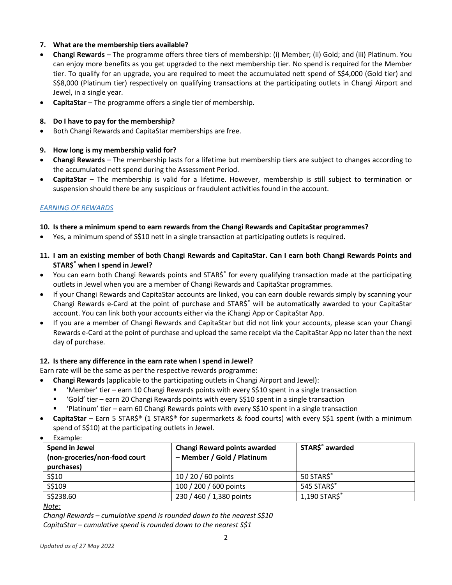## **7. What are the membership tiers available?**

- **Changi Rewards** The programme offers three tiers of membership: (i) Member; (ii) Gold; and (iii) Platinum. You can enjoy more benefits as you get upgraded to the next membership tier. No spend is required for the Member tier. To qualify for an upgrade, you are required to meet the accumulated nett spend of S\$4,000 (Gold tier) and S\$8,000 (Platinum tier) respectively on qualifying transactions at the participating outlets in Changi Airport and Jewel, in a single year.
- **CapitaStar** The programme offers a single tier of membership.

## **8. Do I have to pay for the membership?**

• Both Changi Rewards and CapitaStar memberships are free.

## **9. How long is my membership valid for?**

- **Changi Rewards**  The membership lasts for a lifetime but membership tiers are subject to changes according to the accumulated nett spend during the Assessment Period.
- **CapitaStar** The membership is valid for a lifetime. However, membership is still subject to termination or suspension should there be any suspicious or fraudulent activities found in the account.

### *EARNING OF REWARDS*

## **10. Is there a minimum spend to earn rewards from the Changi Rewards and CapitaStar programmes?**

- Yes, a minimum spend of S\$10 nett in a single transaction at participating outlets is required.
- **11. I am an existing member of both Changi Rewards and CapitaStar. Can I earn both Changi Rewards Points and STAR\$® when I spend in Jewel?**
- You can earn both Changi Rewards points and STAR\$® for every qualifying transaction made at the participating outlets in Jewel when you are a member of Changi Rewards and CapitaStar programmes.
- If your Changi Rewards and CapitaStar accounts are linked, you can earn double rewards simply by scanning your Changi Rewards e-Card at the point of purchase and STAR\$® will be automatically awarded to your CapitaStar account. You can link both your accounts either via the iChangi App or CapitaStar App.
- If you are a member of Changi Rewards and CapitaStar but did not link your accounts, please scan your Changi Rewards e-Card at the point of purchase and upload the same receipt via the CapitaStar App no later than the next day of purchase.

### **12. Is there any difference in the earn rate when I spend in Jewel?**

Earn rate will be the same as per the respective rewards programme:

- **Changi Rewards** (applicable to the participating outlets in Changi Airport and Jewel):
	- 'Member' tier earn 10 Changi Rewards points with every S\$10 spent in a single transaction
	- 'Gold' tier earn 20 Changi Rewards points with every S\$10 spent in a single transaction
	- 'Platinum' tier earn 60 Changi Rewards points with every S\$10 spent in a single transaction
- **CapitaStar** Earn 5 STAR\$® (1 STAR\$® for supermarkets & food courts) with every S\$1 spent (with a minimum spend of S\$10) at the participating outlets in Jewel.
- Example:

| Spend in Jewel<br>(non-groceries/non-food court<br>purchases) | <b>Changi Reward points awarded</b><br>- Member / Gold / Platinum | STAR\$ <sup>®</sup> awarded |
|---------------------------------------------------------------|-------------------------------------------------------------------|-----------------------------|
| S\$10                                                         | 10 / 20 / 60 points                                               | 50 STARS®                   |
| S\$109                                                        | 100 / 200 / 600 points                                            | 545 STARS®                  |
| \$\$238.60                                                    | 230 / 460 / 1,380 points                                          | 1,190 STAR\$®               |

*Note:* 

*Changi Rewards – cumulative spend is rounded down to the nearest S\$10 CapitaStar – cumulative spend is rounded down to the nearest S\$1*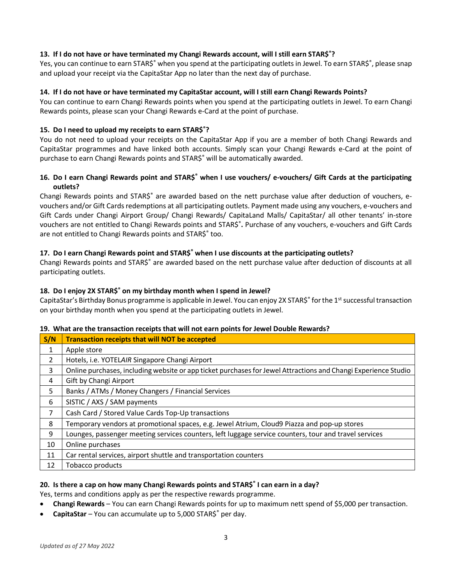## **13. If I do not have or have terminated my Changi Rewards account, will I still earn STAR\$®?**

Yes, you can continue to earn STAR\$® when you spend at the participating outlets in Jewel. To earn STAR\$®, please snap and upload your receipt via the CapitaStar App no later than the next day of purchase.

## **14. If I do not have or have terminated my CapitaStar account, will I still earn Changi Rewards Points?**

You can continue to earn Changi Rewards points when you spend at the participating outlets in Jewel. To earn Changi Rewards points, please scan your Changi Rewards e-Card at the point of purchase.

# **15. Do I need to upload my receipts to earn STAR\$®?**

You do not need to upload your receipts on the CapitaStar App if you are a member of both Changi Rewards and CapitaStar programmes and have linked both accounts. Simply scan your Changi Rewards e-Card at the point of purchase to earn Changi Rewards points and STAR\$® will be automatically awarded.

# **16. Do I earn Changi Rewards point and STAR\$® when I use vouchers/ e-vouchers/ Gift Cards at the participating outlets?**

Changi Rewards points and STAR\$<sup>®</sup> are awarded based on the nett purchase value after deduction of vouchers, evouchers and/or Gift Cards redemptions at all participating outlets. Payment made using any vouchers, e-vouchers and Gift Cards under Changi Airport Group/ Changi Rewards/ CapitaLand Malls/ CapitaStar/ all other tenants' in-store vouchers are not entitled to Changi Rewards points and STAR\$® **.** Purchase of any vouchers, e-vouchers and Gift Cards are not entitled to Changi Rewards points and STAR\$<sup>®</sup> too.

## **17. Do I earn Changi Rewards point and STAR\$® when I use discounts at the participating outlets?**

Changi Rewards points and STAR\$® are awarded based on the nett purchase value after deduction of discounts at all participating outlets.

# **18. Do I enjoy 2X STAR\$® on my birthday month when I spend in Jewel?**

CapitaStar's Birthday Bonus programme is applicable in Jewel. You can enjoy 2X STAR\$® for the 1<sup>st</sup> successful transaction on your birthday month when you spend at the participating outlets in Jewel.

## **19. What are the transaction receipts that will not earn points for Jewel Double Rewards?**

| S/N           | <b>Transaction receipts that will NOT be accepted</b>                                                          |
|---------------|----------------------------------------------------------------------------------------------------------------|
| 1             | Apple store                                                                                                    |
| $\mathcal{P}$ | Hotels, i.e. YOTELAIR Singapore Changi Airport                                                                 |
| 3             | Online purchases, including website or app ticket purchases for Jewel Attractions and Changi Experience Studio |
| 4             | Gift by Changi Airport                                                                                         |
| 5             | Banks / ATMs / Money Changers / Financial Services                                                             |
| 6             | SISTIC / AXS / SAM payments                                                                                    |
| 7             | Cash Card / Stored Value Cards Top-Up transactions                                                             |
| 8             | Temporary vendors at promotional spaces, e.g. Jewel Atrium, Cloud9 Piazza and pop-up stores                    |
| 9             | Lounges, passenger meeting services counters, left luggage service counters, tour and travel services          |
| 10            | Online purchases                                                                                               |
| 11            | Car rental services, airport shuttle and transportation counters                                               |
| 12            | Tobacco products                                                                                               |

# **20. Is there a cap on how many Changi Rewards points and STAR\$® I can earn in a day?**

Yes, terms and conditions apply as per the respective rewards programme.

- **Changi Rewards**  You can earn Changi Rewards points for up to maximum nett spend of \$5,000 per transaction.
- **CapitaStar** You can accumulate up to 5,000 STAR\$® per day.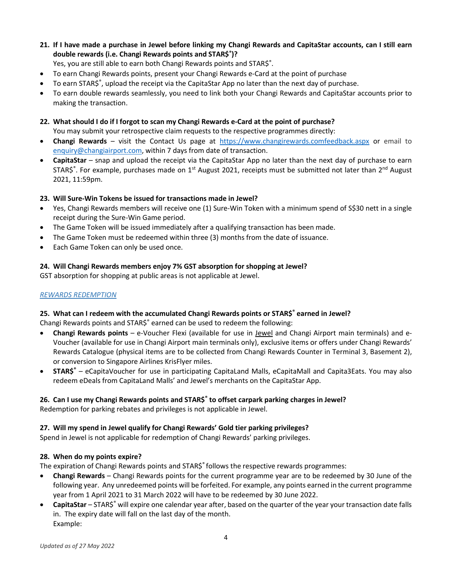- **21. If I have made a purchase in Jewel before linking my Changi Rewards and CapitaStar accounts, can I still earn double rewards (i.e. Changi Rewards points and STAR\$® )?**
	- Yes, you are still able to earn both Changi Rewards points and STAR\$<sup>®</sup>.
- To earn Changi Rewards points, present your Changi Rewards e-Card at the point of purchase
- To earn STAR\$®, upload the receipt via the CapitaStar App no later than the next day of purchase.
- To earn double rewards seamlessly, you need to link both your Changi Rewards and CapitaStar accounts prior to making the transaction.
- **22. What should I do if I forgot to scan my Changi Rewards e-Card at the point of purchase?** You may submit your retrospective claim requests to the respective programmes directly:
- **Changi Rewards**  visit the Contact Us page at [https://www.changirewards.comfeedback.aspx](https://www.changirewards.com/feedback.aspx) or email to [enquiry@changiairport.com,](mailto:enquiry@changiairport.com) within 7 days from date of transaction.
- **CapitaStar**  snap and upload the receipt via the CapitaStar App no later than the next day of purchase to earn STAR\$<sup>®</sup>. For example, purchases made on 1<sup>st</sup> August 2021, receipts must be submitted not later than 2<sup>nd</sup> August 2021, 11:59pm.

## **23. Will Sure-Win Tokens be issued for transactions made in Jewel?**

- Yes, Changi Rewards members will receive one (1) Sure-Win Token with a minimum spend of S\$30 nett in a single receipt during the Sure-Win Game period.
- The Game Token will be issued immediately after a qualifying transaction has been made.
- The Game Token must be redeemed within three (3) months from the date of issuance.
- Each Game Token can only be used once.

# **24. Will Changi Rewards members enjoy 7% GST absorption for shopping at Jewel?**

GST absorption for shopping at public areas is not applicable at Jewel.

## *REWARDS REDEMPTION*

## **25. What can I redeem with the accumulated Changi Rewards points or STAR\$® earned in Jewel?**

Changi Rewards points and STAR\$® earned can be used to redeem the following:

- **Changi Rewards points** e-Voucher Flexi (available for use in Jewel and Changi Airport main terminals) and e-Voucher (available for use in Changi Airport main terminals only), exclusive items or offers under Changi Rewards' Rewards Catalogue (physical items are to be collected from Changi Rewards Counter in Terminal 3, Basement 2), or conversion to Singapore Airlines KrisFlyer miles.
- **STAR\$®** eCapitaVoucher for use in participating CapitaLand Malls, eCapitaMall and Capita3Eats. You may also redeem eDeals from CapitaLand Malls' and Jewel's merchants on the CapitaStar App.

## **26. Can I use my Changi Rewards points and STAR\$® to offset carpark parking charges in Jewel?**

Redemption for parking rebates and privileges is not applicable in Jewel.

## **27. Will my spend in Jewel qualify for Changi Rewards' Gold tier parking privileges?**

Spend in Jewel is not applicable for redemption of Changi Rewards' parking privileges.

## **28. When do my points expire?**

The expiration of Changi Rewards points and STAR\$® follows the respective rewards programmes:

- **Changi Rewards**  Changi Rewards points for the current programme year are to be redeemed by 30 June of the following year. Any unredeemed points will be forfeited. For example, any points earned in the current programme year from 1 April 2021 to 31 March 2022 will have to be redeemed by 30 June 2022.
- **CapitaStar** STAR\$® will expire one calendar year after, based on the quarter of the year your transaction date falls in. The expiry date will fall on the last day of the month. Example: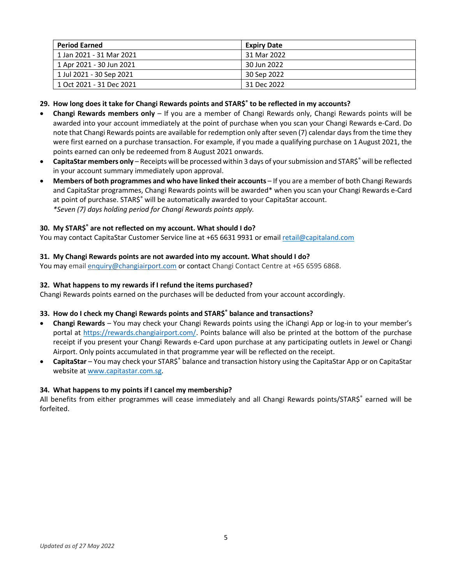| <b>Period Earned</b>     | <b>Expiry Date</b> |
|--------------------------|--------------------|
| 1 Jan 2021 - 31 Mar 2021 | 31 Mar 2022        |
| 1 Apr 2021 - 30 Jun 2021 | 30 Jun 2022        |
| 1 Jul 2021 - 30 Sep 2021 | 30 Sep 2022        |
| 1 Oct 2021 - 31 Dec 2021 | 31 Dec 2022        |

**29. How long does it take for Changi Rewards points and STAR\$® to be reflected in my accounts?**

- **Changi Rewards members only**  If you are a member of Changi Rewards only, Changi Rewards points will be awarded into your account immediately at the point of purchase when you scan your Changi Rewards e-Card. Do note that Changi Rewards points are available for redemption only after seven (7) calendar days from the time they were first earned on a purchase transaction. For example, if you made a qualifying purchase on 1August 2021, the points earned can only be redeemed from 8 August 2021 onwards.
- **CapitaStar members only** Receipts will be processed within 3 days of your submission and STAR\$<sup>®</sup> will be reflected in your account summary immediately upon approval.
- **Members of both programmes and who have linked their accounts** If you are a member of both Changi Rewards and CapitaStar programmes, Changi Rewards points will be awarded\* when you scan your Changi Rewards e-Card at point of purchase. STAR\$<sup>®</sup> will be automatically awarded to your CapitaStar account. *\*Seven (7) days holding period for Changi Rewards points apply.*

## **30. My STAR\$® are not reflected on my account. What should I do?**

You may contact CapitaStar Customer Service line at +65 6631 9931 or email [retail@capitaland.com](mailto:retail@capitaland.com)

## **31. My Changi Rewards points are not awarded into my account. What should I do?**

You may email [enquiry@changiairport.com](mailto:enquiry@changiairport.com) or contact Changi Contact Centre at +65 6595 6868.

## **32. What happens to my rewards if I refund the items purchased?**

Changi Rewards points earned on the purchases will be deducted from your account accordingly.

## **33. How do I check my Changi Rewards points and STAR\$® balance and transactions?**

- **Changi Rewards**  You may check your Changi Rewards points using the [iChangi App or](https://jewelchangi.sharepoint.com/Shared%20Documents/CMC/Loyalty/11.%20CS%20%26%20CR%20Programme%20SOP/FAQ/iChangi%20App%20or) log-in to your member's portal at [https://rewards.changiairport.com/.](https://rewards.changiairport.com/) Points balance will also be printed at the bottom of the purchase receipt if you present your Changi Rewards e-Card upon purchase at any participating outlets in Jewel or Changi Airport. Only points accumulated in that programme year will be reflected on the receipt.
- **CapitaStar**  You may check your STAR\$® balance and transaction history using the CapitaStar App or on CapitaStar website at [www.capitastar.com.sg.](http://www.capitastar.com.sg/)

## **34. What happens to my points if I cancel my membership?**

All benefits from either programmes will cease immediately and all Changi Rewards points/STAR\$® earned will be forfeited.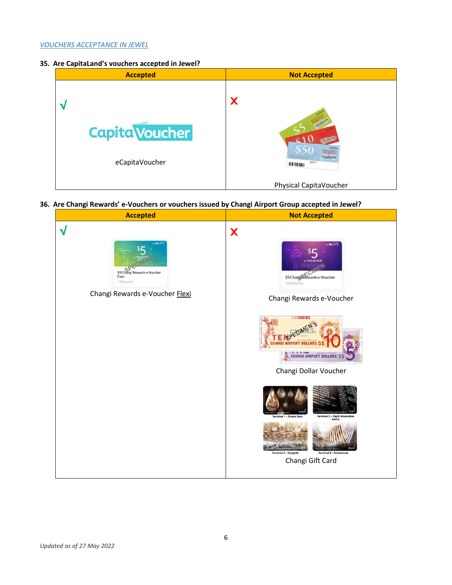### *VOUCHERS ACCEPTANCE IN JEWEL*

**35. Are CapitaLand's vouchers accepted in Jewel?**



**36. Are Changi Rewards' e-Vouchers or vouchers issued by Changi Airport Group accepted in Jewel?**

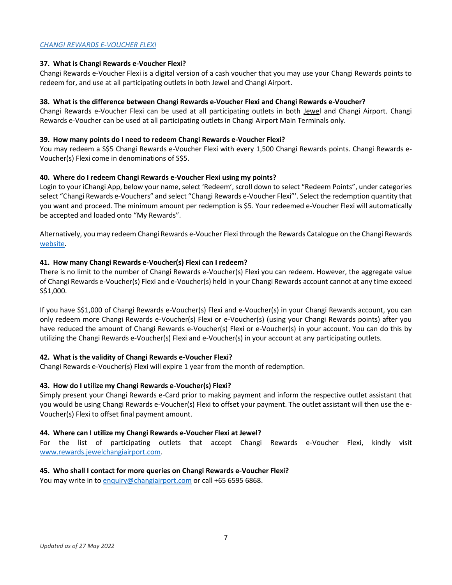## *CHANGI REWARDS E-VOUCHER FLEXI*

### **37. What is Changi Rewards e-Voucher Flexi?**

Changi Rewards e-Voucher Flexi is a digital version of a cash voucher that you may use your Changi Rewards points to redeem for, and use at all participating outlets in both Jewel and Changi Airport.

#### **38. What is the difference between Changi Rewards e-Voucher Flexi and Changi Rewards e-Voucher?**

Changi Rewards e-Voucher Flexi can be used at all participating outlets in both Jewel and Changi Airport. Changi Rewards e-Voucher can be used at all participating outlets in Changi Airport Main Terminals only.

#### **39. How many points do I need to redeem Changi Rewards e-Voucher Flexi?**

You may redeem a S\$5 Changi Rewards e-Voucher Flexi with every 1,500 Changi Rewards points. Changi Rewards e-Voucher(s) Flexi come in denominations of S\$5.

#### **40. Where do I redeem Changi Rewards e-Voucher Flexi using my points?**

Login to your iChangi App, below your name, select 'Redeem', scroll down to select "Redeem Points", under categories select "Changi Rewards e-Vouchers" and select "Changi Rewards e-Voucher Flexi"'. Select the redemption quantity that you want and proceed. The minimum amount per redemption is \$5. Your redeemed e-Voucher Flexi will automatically be accepted and loaded onto "My Rewards".

Alternatively, you may redeem Changi Rewards e-Voucher Flexi through the Rewards Catalogue on the Changi Rewards [website.](https://rewards.changiairport.com/en/catalogue.html)

#### **41. How many Changi Rewards e-Voucher(s) Flexi can I redeem?**

There is no limit to the number of Changi Rewards e-Voucher(s) Flexi you can redeem. However, the aggregate value of Changi Rewards e-Voucher(s) Flexi and e-Voucher(s) held in your Changi Rewards account cannot at any time exceed S\$1,000.

If you have S\$1,000 of Changi Rewards e-Voucher(s) Flexi and e-Voucher(s) in your Changi Rewards account, you can only redeem more Changi Rewards e-Voucher(s) Flexi or e-Voucher(s) (using your Changi Rewards points) after you have reduced the amount of Changi Rewards e-Voucher(s) Flexi or e-Voucher(s) in your account. You can do this by utilizing the Changi Rewards e-Voucher(s) Flexi and e-Voucher(s) in your account at any participating outlets.

### **42. What is the validity of Changi Rewards e-Voucher Flexi?**

Changi Rewards e-Voucher(s) Flexi will expire 1 year from the month of redemption.

### **43. How do I utilize my Changi Rewards e-Voucher(s) Flexi?**

Simply present your Changi Rewards e-Card prior to making payment and inform the respective outlet assistant that you would be using Changi Rewards e-Voucher(s) Flexi to offset your payment. The outlet assistant will then use the e-Voucher(s) Flexi to offset final payment amount.

#### **44. Where can I utilize my Changi Rewards e-Voucher Flexi at Jewel?**

For the list of participating outlets that accept Changi Rewards e-Voucher Flexi, kindly visit [www.rewards.jewelchangiairport.com.](http://www.rewards.jewelchangiairport.com/)

### **45. Who shall I contact for more queries on Changi Rewards e-Voucher Flexi?**

You may write in to [enquiry@changiairport.com](mailto:enquiry@changiairport.com) or call +65 6595 6868.